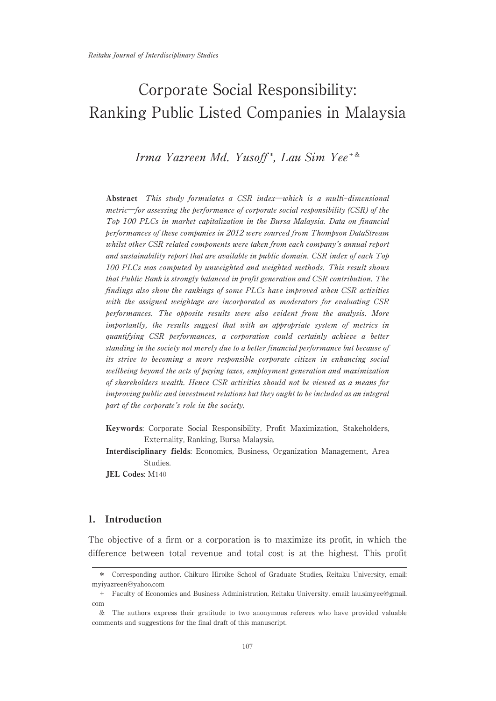# Irma Yazreen Md. Yusoff\*, Lau Sim Yee<sup>+&</sup>

Abstract This study formulates a CSR index―which is a multi-dimensional metric―for assessing the performance of corporate social responsibility (CSR) of the Top100 PLCs in market capitalization in the Bursa Malaysia. Data on financial performances of these companies in 2012 were sourced from Thompson DataStream whilst other CSR related components were taken from each company's annual report and sustainability report that are available in public domain. CSR index of each Top 100 PLCs was computed by unweighted and weighted methods. This result shows that Public Bank is strongly balanced in profit generation and CSR contribution. The findings also show the rankings of some PLCs have improved when CSR activities with the assigned weightage are incorporated as moderators for evaluating CSR performances. The opposite results were also evident from the analysis. More importantly, the results suggest that with an appropriate system of metrics in quantifying CSR performances, a corporation could certainly achieve a better standing in the society not merely due to a better financial performance but because of its strive to becoming a more responsible corporate citizen in enhancing social wellbeing beyond the acts of paying taxes, employment generation and maximization of shareholders wealth. Hence CSR activities should not be viewed as a means for improving public and investment relations but they ought to be included as an integral part of the corporate's role in the society.

- Keywords: Corporate Social Responsibility, Profit Maximization, Stakeholders, Externality, Ranking, Bursa Malaysia.
- Interdisciplinary fields: Economics, Business, Organization Management, Area Studies.

JEL Codes: M140

# 1. Introduction

The objective of a firm or a corporation is to maximize its profit, in which the difference between total revenue and total cost is at the highest. This profit

<sup>\*</sup> Corresponding author, Chikuro Hiroike School of Graduate Studies, Reitaku University, email: myiyazreen@yahoo.com

<sup>+</sup> Faculty of Economics and Business Administration, Reitaku University, email: lau.simyee@gmail. com

<sup>&</sup>amp; The authors express their gratitude to two anonymous referees who have provided valuable comments and suggestions for the final draft of this manuscript.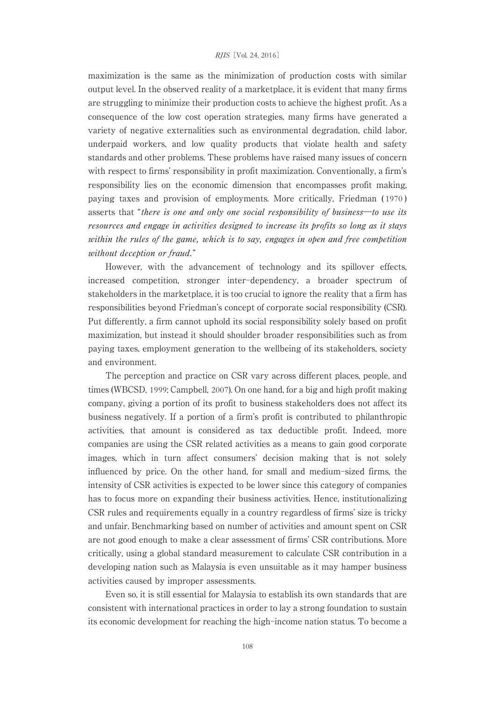#### RJIS [Vol. 24, 2016]

maximization is the same as the minimization of production costs with similar output level. In the observed reality of a marketplace, it is evident that many firms are struggling to minimize their production costs to achieve the highest profit. As a consequence of the low cost operation strategies, many firms have generated a variety of negative externalities suchas environmental degradation, child labor, underpaid workers, and low quality products that violate health and safety standards and other problems. These problems have raised many issues of concern with respect to firms' responsibility in profit maximization. Conventionally, a firm's responsibility lies on the economic dimension that encompasses profit making, paying taxes and provision of employments. More critically, Friedman ( 1970 ) asserts that "there is one and only one social responsibility of business―to use its resources and engage in activities designed to increase its profits so long as it stays within the rules of the game, which is to say, engages in open and free competition without deception or fraud."

However, with the advancement of technology and its spillover effects, increased competition, stronger inter-dependency, a broader spectrum of stakeholders in the marketplace, it is too crucial to ignore the reality that a firm has responsibilities beyond Friedman's concept of corporate social responsibility (CSR). Put differently, a firm cannot uphold its social responsibility solely based on profit maximization, but instead it should shoulder broader responsibilities such as from paying taxes, employment generation to the wellbeing of its stakeholders, society and environment.

The perception and practice on CSR vary across different places, people, and times (WBCSD, 1999; Campbell, 2007). On one hand, for a big and high profit making company, giving a portion of its profit to business stakeholders does not affect its business negatively. If a portion of a firm's profit is contributed to philanthropic activities, that amount is considered as tax deductible profit. Indeed, more companies are using the CSR related activities as a means to gain good corporate images, which in turn affect consumers' decision making that is not solely influenced by price. On the other hand, for small and medium-sized firms, the intensity of CSR activities is expected to be lower since this category of companies has to focus more on expanding their business activities. Hence, institutionalizing CSR rules and requirements equally in a country regardless of firms' size is tricky and unfair. Benchmarking based on number of activities and amount spent on CSR are not good enoughto make a clear assessment of firms' CSR contributions. More critically, using a global standard measurement to calculate CSR contribution in a developing nation such as Malaysia is even unsuitable as it may hamper business activities caused by improper assessments.

Even so, it is still essential for Malaysia to establish its own standards that are consistent withinternational practices in order to lay a strong foundation to sustain its economic development for reaching the high-income nation status. To become a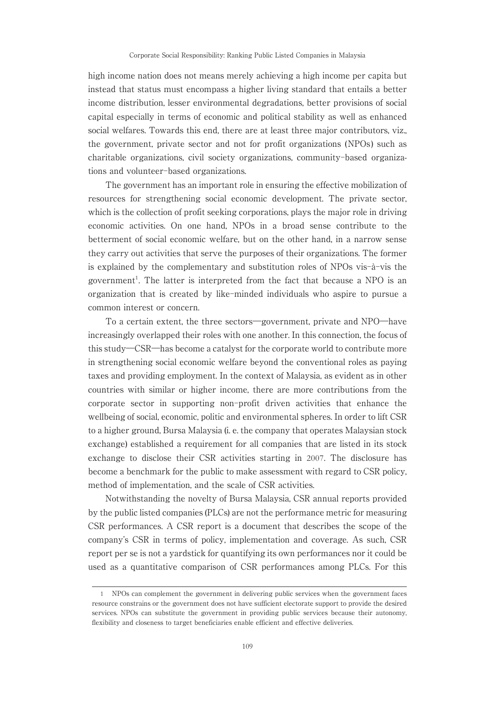high income nation does not means merely achieving a high income per capita but instead that status must encompass a higher living standard that entails a better income distribution, lesser environmental degradations, better provisions of social capital especially in terms of economic and political stability as well as enhanced social welfares. Towards this end, there are at least three major contributors, viz., the government, private sector and not for profit organizations (NPOs) such as charitable organizations, civil society organizations, community-based organizations and volunteer-based organizations.

The government has an important role in ensuring the effective mobilization of resources for strengthening social economic development. The private sector, which is the collection of profit seeking corporations, plays the major role in driving economic activities. On one hand, NPOs in a broad sense contribute to the betterment of social economic welfare, but on the other hand, in a narrow sense they carry out activities that serve the purposes of their organizations. The former is explained by the complementary and substitution roles of NPOs vis-à-vis the government<sup>1</sup>. The latter is interpreted from the fact that because a NPO is an organization that is created by like-minded individuals who aspire to pursue a common interest or concern.

To a certain extent, the three sectors―government, private and NPO―have increasingly overlapped their roles with one another. In this connection, the focus of this study―CSR―has become a catalyst for the corporate world to contribute more in strengthening social economic welfare beyond the conventional roles as paying taxes and providing employment. In the context of Malaysia, as evident as in other countries with similar or higher income, there are more contributions from the corporate sector in supporting non-profit driven activities that enhance the wellbeing of social, economic, politic and environmental spheres. In order to lift CSR to a higher ground, Bursa Malaysia (i. e. the company that operates Malaysian stock exchange) established a requirement for all companies that are listed in its stock exchange to disclose their CSR activities starting in 2007. The disclosure has become a benchmark for the public to make assessment with regard to CSR policy, method of implementation, and the scale of CSR activities.

Notwithstanding the novelty of Bursa Malaysia, CSR annual reports provided by the public listed companies (PLCs) are not the performance metric for measuring CSR performances. A CSR report is a document that describes the scope of the company's CSR in terms of policy, implementation and coverage. As such, CSR report per se is not a yardstick for quantifying its own performances nor it could be used as a quantitative comparison of CSR performances among PLCs. For this

<sup>1</sup> NPOs can complement the government in delivering public services when the government faces resource constrains or the government does not have sufficient electorate support to provide the desired services. NPOs can substitute the government in providing public services because their autonomy, flexibility and closeness to target beneficiaries enable efficient and effective deliveries.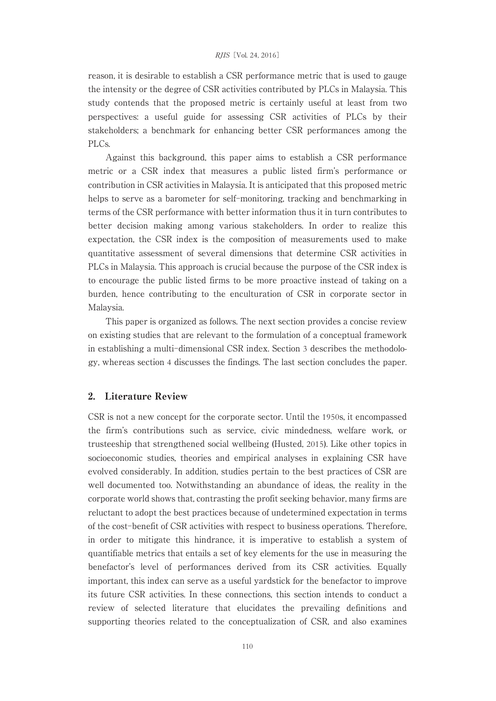reason, it is desirable to establisha CSR performance metric that is used to gauge the intensity or the degree of CSR activities contributed by PLCs in Malaysia. This study contends that the proposed metric is certainly useful at least from two perspectives: a useful guide for assessing CSR activities of PLCs by their stakeholders; a benchmark for enhancing better CSR performances among the PLCs.

Against this background, this paper aims to establish a CSR performance metric or a CSR index that measures a public listed firm's performance or contribution in CSR activities in Malaysia. It is anticipated that this proposed metric helps to serve as a barometer for self-monitoring, tracking and benchmarking in terms of the CSR performance with better information thus it in turn contributes to better decision making among various stakeholders. In order to realize this expectation, the CSR index is the composition of measurements used to make quantitative assessment of several dimensions that determine CSR activities in PLCs in Malaysia. This approach is crucial because the purpose of the CSR index is to encourage the public listed firms to be more proactive instead of taking on a burden, hence contributing to the enculturation of CSR in corporate sector in Malaysia.

This paper is organized as follows. The next section provides a concise review on existing studies that are relevant to the formulation of a conceptual framework in establishing a multi-dimensional CSR index. Section 3 describes the methodology, whereas section 4 discusses the findings. The last section concludes the paper.

#### 2. Literature Review

CSR is not a new concept for the corporate sector. Until the 1950s, it encompassed the firm's contributions such as service, civic mindedness, welfare work, or trusteeship that strengthened social wellbeing (Husted, 2015). Like other topics in socioeconomic studies, theories and empirical analyses in explaining CSR have evolved considerably. In addition, studies pertain to the best practices of CSR are well documented too. Notwithstanding an abundance of ideas, the reality in the corporate world shows that, contrasting the profit seeking behavior, many firms are reluctant to adopt the best practices because of undetermined expectation in terms of the cost-benefit of CSR activities withrespect to business operations. Therefore, in order to mitigate this hindrance, it is imperative to establish a system of quantifiable metrics that entails a set of key elements for the use in measuring the benefactor's level of performances derived from its CSR activities. Equally important, this index can serve as a useful yardstick for the benefactor to improve its future CSR activities. In these connections, this section intends to conduct a review of selected literature that elucidates the prevailing definitions and supporting theories related to the conceptualization of CSR, and also examines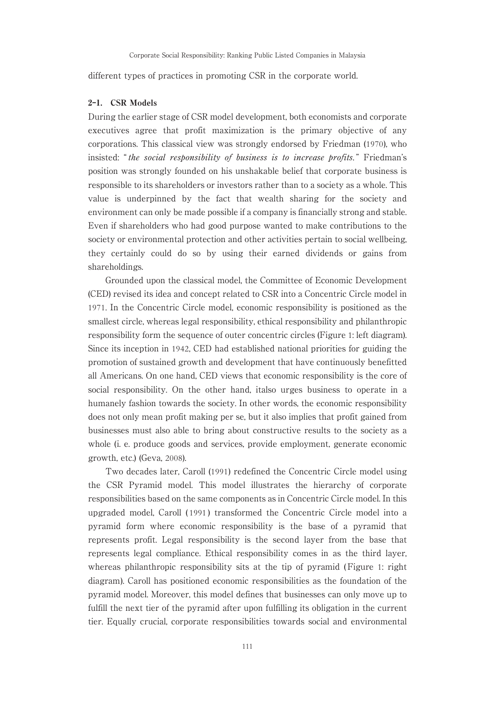different types of practices in promoting CSR in the corporate world.

#### 2-1. CSR Models

During the earlier stage of CSR model development, both economists and corporate executives agree that profit maximization is the primary objective of any corporations. This classical view was strongly endorsed by Friedman (1970), who insisted: "the social responsibility of business is to increase profits." Friedman's position was strongly founded on his unshakable belief that corporate business is responsible to its shareholders or investors rather than to a society as a whole. This value is underpinned by the fact that wealth sharing for the society and environment can only be made possible if a company is financially strong and stable. Even if shareholders who had good purpose wanted to make contributions to the society or environmental protection and other activities pertain to social wellbeing, they certainly could do so by using their earned dividends or gains from shareholdings.

Grounded upon the classical model, the Committee of Economic Development (CED) revised its idea and concept related to CSR into a Concentric Circle model in 1971. In the Concentric Circle model, economic responsibility is positioned as the smallest circle, whereas legal responsibility, ethical responsibility and philanthropic responsibility form the sequence of outer concentric circles (Figure 1: left diagram). Since its inception in 1942, CED had established national priorities for guiding the promotion of sustained growth and development that have continuously benefitted all Americans. On one hand, CED views that economic responsibility is the core of social responsibility. On the other hand, italso urges business to operate in a humanely fashion towards the society. In other words, the economic responsibility does not only mean profit making per se, but it also implies that profit gained from businesses must also able to bring about constructive results to the society as a whole (i. e. produce goods and services, provide employment, generate economic growth, etc.) (Geva, 2008).

Two decades later, Caroll (1991) redefined the Concentric Circle model using the CSR Pyramid model. This model illustrates the hierarchy of corporate responsibilities based on the same components as in Concentric Circle model. In this upgraded model, Caroll ( 1991 ) transformed the Concentric Circle model into a pyramid form where economic responsibility is the base of a pyramid that represents profit. Legal responsibility is the second layer from the base that represents legal compliance. Ethical responsibility comes in as the third layer, whereas philanthropic responsibility sits at the tip of pyramid (Figure 1: right diagram). Caroll has positioned economic responsibilities as the foundation of the pyramid model. Moreover, this model defines that businesses can only move up to fulfill the next tier of the pyramid after upon fulfilling its obligation in the current tier. Equally crucial, corporate responsibilities towards social and environmental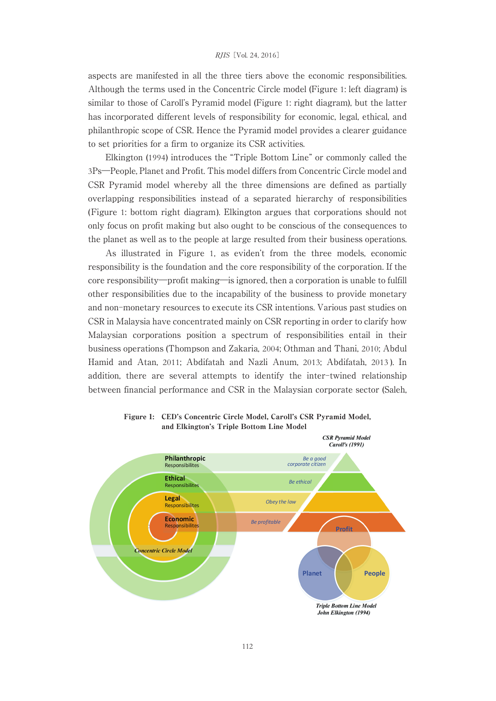aspects are manifested in all the three tiers above the economic responsibilities. Although the terms used in the Concentric Circle model (Figure 1: left diagram) is similar to those of Caroll's Pyramid model (Figure 1: right diagram), but the latter has incorporated different levels of responsibility for economic, legal, ethical, and philanthropic scope of CSR. Hence the Pyramid model provides a clearer guidance to set priorities for a firm to organize its CSR activities.

Elkington (1994) introduces the "Triple Bottom Line" or commonly called the 3Ps―People, Planet and Profit. This model differs from Concentric Circle model and CSR Pyramid model whereby all the three dimensions are defined as partially overlapping responsibilities instead of a separated hierarchy of responsibilities (Figure 1: bottom right diagram). Elkington argues that corporations should not only focus on profit making but also ought to be conscious of the consequences to the planet as well as to the people at large resulted from their business operations.

As illustrated in Figure 1, as eviden't from the three models, economic responsibility is the foundation and the core responsibility of the corporation. If the core responsibility―profit making―is ignored, then a corporation is unable to fulfill other responsibilities due to the incapability of the business to provide monetary and non-monetary resources to execute its CSR intentions. Various past studies on CSR in Malaysia have concentrated mainly on CSR reporting in order to clarify how Malaysian corporations position a spectrum of responsibilities entail in their business operations (Thompson and Zakaria, 2004; Othman and Thani, 2010; Abdul Hamid and Atan, 2011; Abdifatahand Nazli Anum, 2013; Abdifatah, 2013 ). In addition, there are several attempts to identify the inter-twined relationship between financial performance and CSR in the Malaysian corporate sector (Saleh,



Figure 1: CED's Concentric Circle Model, Caroll's CSR Pyramid Model, and Elkington's Triple Bottom Line Model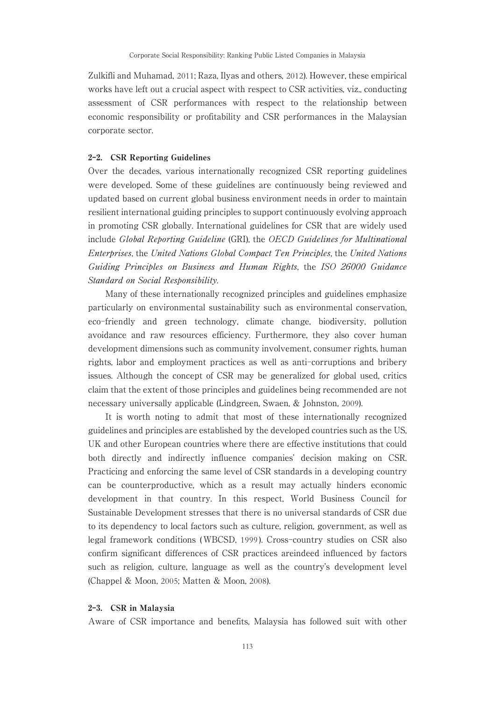Zulkifli and Muhamad, 2011; Raza, Ilyas and others, 2012). However, these empirical works have left out a crucial aspect with respect to CSR activities, viz., conducting assessment of CSR performances with respect to the relationship between economic responsibility or profitability and CSR performances in the Malaysian corporate sector.

#### 2-2. CSR Reporting Guidelines

Over the decades, various internationally recognized CSR reporting guidelines were developed. Some of these guidelines are continuously being reviewed and updated based on current global business environment needs in order to maintain resilient international guiding principles to support continuously evolving approach in promoting CSR globally. International guidelines for CSR that are widely used include Global Reporting Guideline (GRI), the OECD Guidelines for Multinational Enterprises, the United Nations Global Compact Ten Principles, the United Nations Guiding Principles on Business and Human Rights, the ISO 26000 Guidance Standard on Social Responsibility.

Many of these internationally recognized principles and guidelines emphasize particularly on environmental sustainability suchas environmental conservation, eco-friendly and green technology, climate change, biodiversity, pollution avoidance and raw resources efficiency. Furthermore, they also cover human development dimensions such as community involvement, consumer rights, human rights, labor and employment practices as well as anti-corruptions and bribery issues. Although the concept of CSR may be generalized for global used, critics claim that the extent of those principles and guidelines being recommended are not necessary universally applicable (Lindgreen, Swaen, & Johnston, 2009).

It is worth noting to admit that most of these internationally recognized guidelines and principles are established by the developed countries such as the US, UK and other European countries where there are effective institutions that could both directly and indirectly influence companies' decision making on CSR. Practicing and enforcing the same level of CSR standards in a developing country can be counterproductive, which as a result may actually hinders economic development in that country. In this respect, World Business Council for Sustainable Development stresses that there is no universal standards of CSR due to its dependency to local factors suchas culture, religion, government, as well as legal framework conditions (WBCSD, 1999 ). Cross-country studies on CSR also confirm significant differences of CSR practices areindeed influenced by factors such as religion, culture, language as well as the country's development level (Chappel & Moon, 2005; Matten & Moon, 2008).

#### 2-3. CSR in Malaysia

Aware of CSR importance and benefits, Malaysia has followed suit with other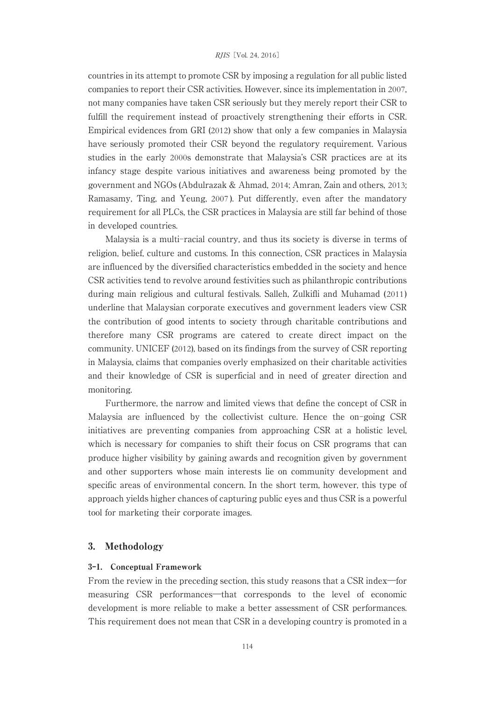countries in its attempt to promote CSR by imposing a regulation for all public listed companies to report their CSR activities. However, since its implementation in 2007, not many companies have taken CSR seriously but they merely report their CSR to fulfill the requirement instead of proactively strengthening their efforts in CSR. Empirical evidences from GRI (2012) show that only a few companies in Malaysia have seriously promoted their CSR beyond the regulatory requirement. Various studies in the early 2000s demonstrate that Malaysia's CSR practices are at its infancy stage despite various initiatives and awareness being promoted by the government and NGOs (Abdulrazak & Ahmad, 2014; Amran, Zain and others, 2013; Ramasamy, Ting, and Yeung, 2007 ). Put differently, even after the mandatory requirement for all PLCs, the CSR practices in Malaysia are still far behind of those in developed countries.

Malaysia is a multi-racial country, and thus its society is diverse in terms of religion, belief, culture and customs. In this connection, CSR practices in Malaysia are influenced by the diversified characteristics embedded in the society and hence CSR activities tend to revolve around festivities such as philanthropic contributions during main religious and cultural festivals. Salleh, Zulkifli and Muhamad (2011) underline that Malaysian corporate executives and government leaders view CSR the contribution of good intents to society through charitable contributions and therefore many CSR programs are catered to create direct impact on the community. UNICEF (2012), based on its findings from the survey of CSR reporting in Malaysia, claims that companies overly emphasized on their charitable activities and their knowledge of CSR is superficial and in need of greater direction and monitoring.

Furthermore, the narrow and limited views that define the concept of CSR in Malaysia are influenced by the collectivist culture. Hence the on-going CSR initiatives are preventing companies from approaching CSR at a holistic level, which is necessary for companies to shift their focus on CSR programs that can produce higher visibility by gaining awards and recognition given by government and other supporters whose main interests lie on community development and specific areas of environmental concern. In the short term, however, this type of approach yields higher chances of capturing public eyes and thus CSR is a powerful tool for marketing their corporate images.

#### 3. Methodology

#### 3-1. Conceptual Framework

From the review in the preceding section, this study reasons that a CSR index―for measuring CSR performances―that corresponds to the level of economic development is more reliable to make a better assessment of CSR performances. This requirement does not mean that CSR in a developing country is promoted in a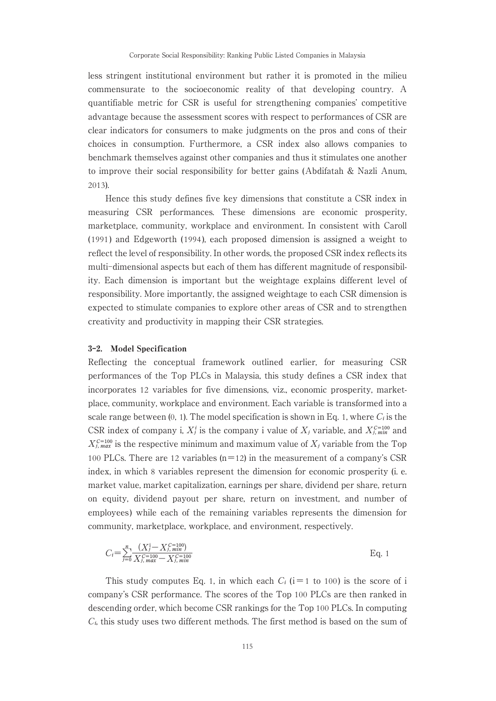less stringent institutional environment but rather it is promoted in the milieu commensurate to the socioeconomic reality of that developing country. A quantifiable metric for CSR is useful for strengthening companies' competitive advantage because the assessment scores with respect to performances of CSR are clear indicators for consumers to make judgments on the pros and cons of their choices in consumption. Furthermore, a CSR index also allows companies to benchmark themselves against other companies and thus it stimulates one another to improve their social responsibility for better gains (Abdifatah & Nazli Anum, 2013).

Hence this study defines five key dimensions that constitute a CSR index in measuring CSR performances. These dimensions are economic prosperity, marketplace, community, workplace and environment. In consistent with Caroll  $(1991)$  and Edgeworth  $(1994)$ , each proposed dimension is assigned a weight to reflect the level of responsibility. In other words, the proposed CSR index reflects its multi-dimensional aspects but each of them has different magnitude of responsibility. Each dimension is important but the weightage explains different level of responsibility. More importantly, the assigned weightage to each CSR dimension is expected to stimulate companies to explore other areas of CSR and to strengthen creativity and productivity in mapping their CSR strategies.

#### 3-2. Model Specification

Reflecting the conceptual framework outlined earlier, for measuring CSR performances of the Top PLCs in Malaysia, this study defines a CSR index that incorporates 12 variables for five dimensions, viz., economic prosperity, marketplace, community, workplace and environment. Each variable is transformed into a scale range between  $(0, 1)$ . The model specification is shown in Eq. 1, where  $C_i$  is the CSR index of company i,  $X_j^i$  is the company i value of  $X_j$  variable, and  $X_{j,min}^{c=100}$  and  $X_{i,\text{max}}^{C=100}$  is the respective minimum and maximum value of  $X_i$  variable from the Top 100 PLCs. There are 12 variables ( $n=12$ ) in the measurement of a company's CSR index, in which 8 variables represent the dimension for economic prosperity (i. e. market value, market capitalization, earnings per share, dividend per share, return on equity, dividend payout per share, return on investment, and number of employees) while each of the remaining variables represents the dimension for community, marketplace, workplace, and environment, respectively.

$$
C_i = \sum_{j=0}^{n} \frac{(X_j^i - X_{j, min}^{c=100})}{X_{j, max}^{c=100} - X_{j, min}^{c=100}}
$$
 Eq. 1

This study computes Eq. 1, in which each  $C_i$  (i=1 to 100) is the score of i company's CSR performance. The scores of the Top 100 PLCs are then ranked in descending order, which become CSR rankings for the Top 100 PLCs. In computing *C*, this study uses two different methods. The first method is based on the sum of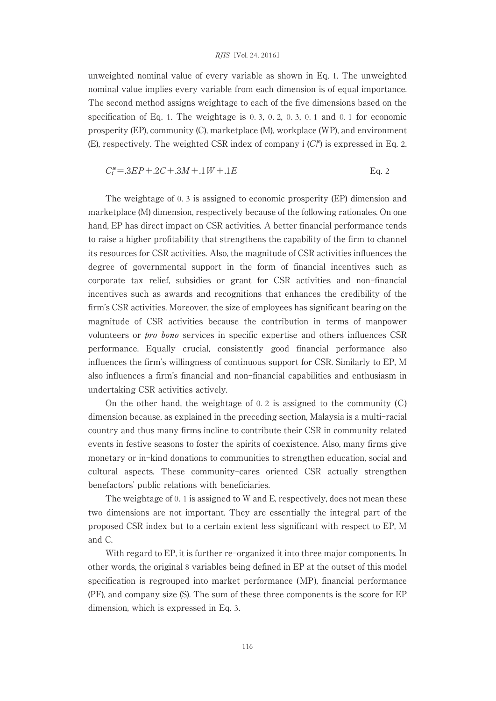#### RJIS [Vol. 24, 2016]

unweighted nominal value of every variable as shown in Eq. 1. The unweighted nominal value implies every variable from eachdimension is of equal importance. The second method assigns weightage to each of the five dimensions based on the specification of Eq. 1. The weightage is 0. 3, 0. 2, 0. 3, 0. 1 and 0. 1 for economic prosperity (EP), community (C), marketplace (M), workplace (WP), and environment (E), respectively. The weighted CSR index of company i  $(C_i^{\omega})$  is expressed in Eq. 2.

$$
C_i^w = 3EP + 2C + 3M + 1W + 1E
$$
 Eq. 2

The weightage of 0. 3 is assigned to economic prosperity (EP) dimension and marketplace (M) dimension, respectively because of the following rationales. On one hand, EP has direct impact on CSR activities. A better financial performance tends to raise a higher profitability that strengthens the capability of the firm to channel its resources for CSR activities. Also, the magnitude of CSR activities influences the degree of governmental support in the form of financial incentives such as corporate tax relief, subsidies or grant for CSR activities and non-financial incentives such as awards and recognitions that enhances the credibility of the firm's CSR activities. Moreover, the size of employees has significant bearing on the magnitude of CSR activities because the contribution in terms of manpower volunteers or pro bono services in specific expertise and others influences CSR performance. Equally crucial, consistently good financial performance also influences the firm's willingness of continuous support for CSR. Similarly to EP, M also influences a firm's financial and non-financial capabilities and enthusiasm in undertaking CSR activities actively.

On the other hand, the weightage of 0. 2 is assigned to the community (C) dimension because, as explained in the preceding section, Malaysia is a multi-racial country and thus many firms incline to contribute their CSR in community related events in festive seasons to foster the spirits of coexistence. Also, many firms give monetary or in-kind donations to communities to strengthen education, social and cultural aspects. These community-cares oriented CSR actually strengthen benefactors' public relations with beneficiaries.

The weightage of 0. 1 is assigned to W and E, respectively, does not mean these two dimensions are not important. They are essentially the integral part of the proposed CSR index but to a certain extent less significant with respect to EP, M and C.

With regard to EP, it is further re-organized it into three major components. In other words, the original 8 variables being defined in EP at the outset of this model specification is regrouped into market performance (MP), financial performance (PF), and company size (S). The sum of these three components is the score for EP dimension, which is expressed in Eq. 3.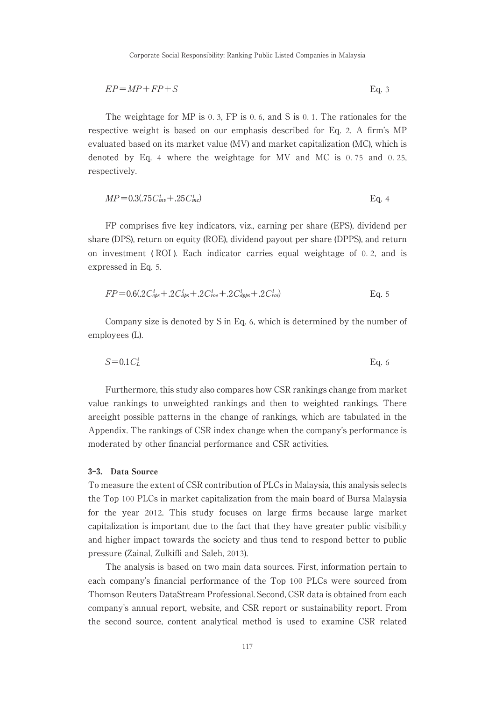$$
EP = MP + FP + S
$$
 Eq. 3

The weightage for MP is 0. 3, FP is 0. 6, and S is 0. 1. The rationales for the respective weight is based on our emphasis described for Eq. 2. A firm's MP evaluated based on its market value (MV) and market capitalization (MC), which is denoted by Eq. 4 where the weightage for MV and MC is 0. 75 and 0. 25, respectively.

$$
MP = 0.3(.75C_{mv}^{i} + .25C_{mc}^{i})
$$
 Eq. 4

FP comprises five key indicators, viz., earning per share (EPS), dividend per share (DPS), return on equity (ROE), dividend payout per share (DPPS), and return on investment (ROI). Each indicator carries equal weightage of 0.2, and is expressed in Eq. 5.

$$
FP = 0.6(.2C_{\text{eps}}^i + .2C_{\text{abs}}^i + .2C_{\text{ro}}^i + .2C_{\text{cups}}^i + .2C_{\text{roib}}^i)
$$
 Eq. 5

Company size is denoted by S in Eq. 6, which is determined by the number of employees (L).

$$
S=0.1C_L^i
$$
 Eq. 6

Furthermore, this study also compares how CSR rankings change from market value rankings to unweighted rankings and then to weighted rankings. There areeight possible patterns in the change of rankings, which are tabulated in the Appendix. The rankings of CSR index change when the company's performance is moderated by other financial performance and CSR activities.

#### 3-3. Data Source

To measure the extent of CSR contribution of PLCs in Malaysia, this analysis selects the Top 100 PLCs in market capitalization from the main board of Bursa Malaysia for the year 2012. This study focuses on large firms because large market capitalization is important due to the fact that they have greater public visibility and higher impact towards the society and thus tend to respond better to public pressure (Zainal, Zulkifli and Saleh, 2013).

The analysis is based on two main data sources. First, information pertain to each company's financial performance of the Top 100 PLCs were sourced from Thomson Reuters DataStream Professional. Second, CSR data is obtained from each company's annual report, website, and CSR report or sustainability report. From the second source, content analytical method is used to examine CSR related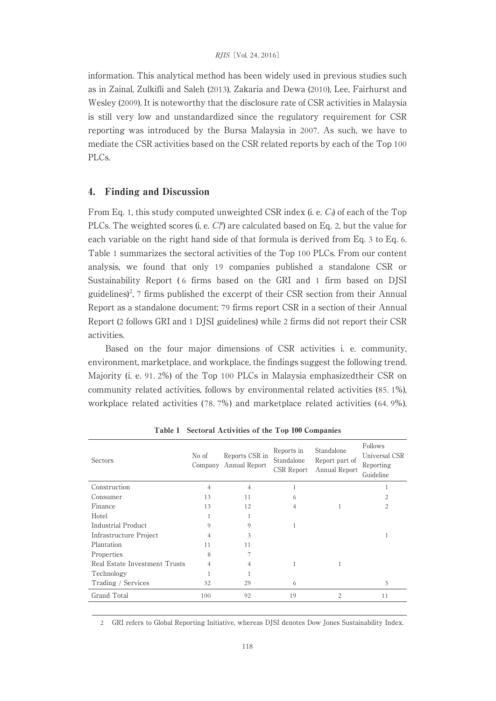information. This analytical method has been widely used in previous studies such as in Zainal, Zulkifli and Saleh(2013), Zakaria and Dewa (2010), Lee, Fairhurst and Wesley (2009). It is noteworthy that the disclosure rate of CSR activities in Malaysia is still very low and unstandardized since the regulatory requirement for CSR reporting was introduced by the Bursa Malaysia in 2007. As such, we have to mediate the CSR activities based on the CSR related reports by each of the Top 100 PLCs.

#### 4. Finding and Discussion

From Eq. 1, this study computed unweighted CSR index (i. e. *C<sub>i</sub>*) of each of the Top PLCs. The weighted scores (i. e.  $C_i^w$ ) are calculated based on Eq. 2, but the value for each variable on the right hand side of that formula is derived from Eq. 3 to Eq. 6. Table 1 summarizes the sectoral activities of the Top 100 PLCs. From our content analysis, we found that only 19 companies published a standalone CSR or Sustainability Report (6 firms based on the GRI and 1 firm based on DJSI guidelines)<sup>2</sup>, 7 firms published the excerpt of their CSR section from their Annual Report as a standalone document; 79 firms report CSR in a section of their Annual Report (2 follows GRI and 1 DJSI guidelines) while 2 firms did not report their CSR activities.

Based on the four major dimensions of CSR activities i. e. community, environment, marketplace, and workplace, the findings suggest the following trend. Majority (i. e. 91. 2%) of the Top 100 PLCs in Malaysia emphasizedtheir CSR on community related activities, follows by environmental related activities (85. 1%), workplace related activities (78. 7%) and marketplace related activities (64. 9%).

| No of          | Reports CSR in | Reports in<br>Standalone<br>CSR Report | Standalone<br>Report part of<br>Annual Report | Follows<br>Universal CSR<br>Reporting<br>Guideline |
|----------------|----------------|----------------------------------------|-----------------------------------------------|----------------------------------------------------|
| 4              | 4              | 1                                      |                                               |                                                    |
| 13             | 11             | 6                                      |                                               | $\overline{c}$                                     |
| 13             | 12             | $\overline{4}$                         |                                               | $\overline{c}$                                     |
|                |                |                                        |                                               |                                                    |
| $\mathcal{Q}$  | 9              | 1                                      |                                               |                                                    |
| 4              | 3              |                                        |                                               |                                                    |
| 11             | 11             |                                        |                                               |                                                    |
| 8              |                |                                        |                                               |                                                    |
| $\overline{4}$ |                |                                        |                                               |                                                    |
|                |                |                                        |                                               |                                                    |
| 32             | 29             | 6                                      |                                               | 5                                                  |
| 100            | 92             | 19                                     | $\overline{c}$                                | 11                                                 |
|                |                | Company Annual Report                  |                                               |                                                    |

Table 1 Sectoral Activities of the Top 100 Companies

2 GRI refers to Global Reporting Initiative, whereas DJSI denotes Dow Jones Sustainability Index.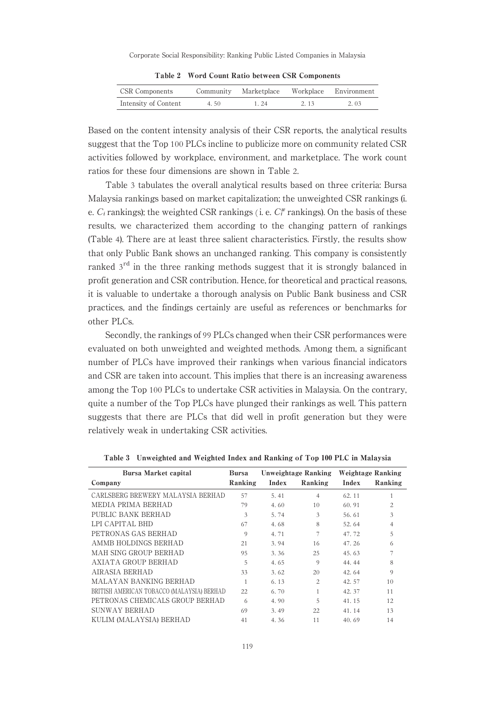Table 2 Word Count Ratio between CSR Components

| <b>CSR</b> Components |      | Community Marketplace Workplace Environment |      |      |
|-----------------------|------|---------------------------------------------|------|------|
| Intensity of Content  | 4.50 | $1\,24$                                     | 2 13 | 2.03 |

Based on the content intensity analysis of their CSR reports, the analytical results suggest that the Top 100 PLCs incline to publicize more on community related CSR activities followed by workplace, environment, and marketplace. The work count ratios for these four dimensions are shown in Table 2.

Table 3 tabulates the overall analytical results based on three criteria: Bursa Malaysia rankings based on market capitalization; the unweighted CSR rankings (i. e.  $C_i$  rankings); the weighted CSR rankings (i. e.  $C_i^w$  rankings). On the basis of these results, we characterized them according to the changing pattern of rankings (Table 4). There are at least three salient characteristics. Firstly, the results show that only Public Bank shows an unchanged ranking. This company is consistently ranked 3<sup>rd</sup> in the three ranking methods suggest that it is strongly balanced in profit generation and CSR contribution. Hence, for theoretical and practical reasons, it is valuable to undertake a thorough analysis on Public Bank business and CSR practices, and the findings certainly are useful as references or benchmarks for other PLCs.

Secondly, the rankings of 99 PLCs changed when their CSR performances were evaluated on both unweighted and weighted methods. Among them, a significant number of PLCs have improved their rankings when various financial indicators and CSR are taken into account. This implies that there is an increasing awareness among the Top 100 PLCs to undertake CSR activities in Malaysia. On the contrary, quite a number of the Top PLCs have plunged their rankings as well. This pattern suggests that there are PLCs that did well in profit generation but they were relatively weak in undertaking CSR activities.

| <b>Bursa Market capital</b>                | <b>Bursa</b> | Unweightage Ranking |                | Weightage Ranking |          |
|--------------------------------------------|--------------|---------------------|----------------|-------------------|----------|
| Company                                    | Ranking      | Index               | Ranking        | Index             | Ranking  |
| CARLSBERG BREWERY MALAYSIA BERHAD          | 57           | 5.41                | 4              | 62.11             | 1        |
| MEDIA PRIMA BERHAD                         | 79           | 4.60                | 10             | 60.91             | 2        |
| PUBLIC BANK BERHAD                         | 3            | 5.74                | 3              | 56.61             | 3        |
| LPI CAPITAL BHD                            | 67           | 4.68                | 8              | 52.64             | 4        |
| PETRONAS GAS BERHAD                        | $\Omega$     | 4.71                | 7              | 47.72             | 5        |
| AMMB HOLDINGS BERHAD                       | 21           | 3.94                | 16             | 47.26             | 6        |
| MAH SING GROUP BERHAD                      | 95           | 3.36                | 25             | 45.63             | 7        |
| AXIATA GROUP BERHAD                        | 5            | 4.65                | 9              | 44.44             | 8        |
| AIRASIA BERHAD                             | 33           | 3.62                | 20             | 42.64             | $\Omega$ |
| MALAYAN BANKING BERHAD                     |              | 6.13                | $\overline{c}$ | 42.57             | 10       |
| BRITISH AMERICAN TOBACCO (MALAYSIA) BERHAD | 22           | 6.70                | 1              | 42.37             | 11       |
| PETRONAS CHEMICALS GROUP BERHAD            | 6            | 4.90                | 5              | 41.15             | 12       |
| SUNWAY BERHAD                              | 69           | 3.49                | 22             | 41.14             | 13       |
| KULIM (MALAYSIA) BERHAD                    | 41           | 4.36                | 11             | 40.69             | 14       |

Table 3 Unweighted and Weighted Index and Ranking of Top 100 PLC in Malaysia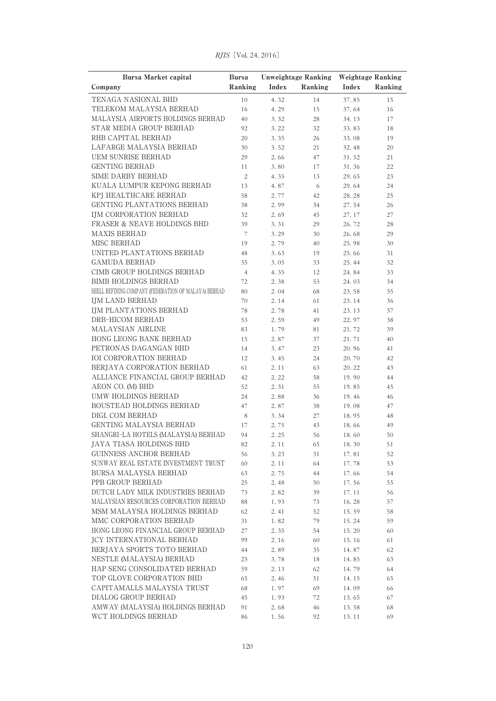| <b>Bursa Market capital</b>                             | <b>Bursa</b>             | <b>Unweightage Ranking</b> |          | <b>Weightage Ranking</b> |         |
|---------------------------------------------------------|--------------------------|----------------------------|----------|--------------------------|---------|
| Company                                                 | Ranking                  | Index                      | Ranking  | Index                    | Ranking |
| TENAGA NASIONAL BHD                                     | 10                       | 4.32                       | 14       | 37.85                    | 15      |
| TELEKOM MALAYSIA BERHAD                                 | 16                       | 4.29                       | 15       | 37.64                    | 16      |
| MALAYSIA AIRPORTS HOLDINGS BERHAD                       | 40                       | 3.32                       | 28       | 34.13                    | 17      |
| STAR MEDIA GROUP BERHAD                                 | 92                       | 3.22                       | 32       | 33.83                    | 18      |
| RHB CAPITAL BERHAD                                      | 20                       | 3.35                       | 26       | 33.08                    | 19      |
| LAFARGE MALAYSIA BERHAD                                 | 30                       | 3.52                       | 21       | 32.48                    | 20      |
| UEM SUNRISE BERHAD                                      | 29                       | 2.66                       | 47       | 31.52                    | 21      |
| <b>GENTING BERHAD</b>                                   | 11                       | 3.80                       | 17       | 31.36                    | 22      |
| SIME DARBY BERHAD                                       | $\overline{c}$           | 4.35                       | 13       | 29.65                    | 23      |
| KUALA LUMPUR KEPONG BERHAD                              | 13                       | 4.87                       | 6        | 29.64                    | 24      |
| KPJ HEALTHCARE BERHAD                                   | 58                       | 2.77                       | 42       | 28.28                    | 25      |
| GENTING PLANTATIONS BERHAD                              | 38                       | 2.99                       | 34       | 27.54                    | 26      |
| IJM CORPORATION BERHAD                                  | 32                       | 2.69                       | 45       | 27.17                    | 27      |
| <b>FRASER &amp; NEAVE HOLDINGS BHD</b>                  | 39                       | 3.31                       | 29       | 26.72                    | 28      |
| <b>MAXIS BERHAD</b>                                     | $\overline{\phantom{a}}$ | 3.29                       | 30       | 26.68                    | 29      |
| MISC BERHAD                                             | 19                       | 2.79                       | 40       | 25.98                    | 30      |
| UNITED PLANTATIONS BERHAD                               | 48                       | 3.63                       | 19       | 25.66                    | 31      |
| <b>GAMUDA BERHAD</b>                                    | 35                       | 3.05                       | 33       | 25.44                    | 32      |
| CIMB GROUP HOLDINGS BERHAD                              | $\overline{4}$           | 4.35                       | 12       | 24.84                    | 33      |
| <b>BIMB HOLDINGS BERHAD</b>                             | 72                       | 2.38                       | 53       | 24.03                    | 34      |
| SHELL REFINING COMPANY (FEDERATION OF MALAYA) BERHAD    | 80                       | 2.04                       | 68       | 23.58                    | 35      |
| <b>IJM LAND BERHAD</b>                                  | 70                       | 2.14                       | 61       | 23.14                    | 36      |
| IJM PLANTATIONS BERHAD                                  | 78                       | 2.78                       | 41       | 23.13                    | 37      |
| DRB-HICOM BERHAD                                        | 53                       | 2.59                       | 49       | 22.97                    | 38      |
| MALAYSIAN AIRLINE                                       | 83                       | 1.79                       | 81       | 21.72                    | 39      |
| HONG LEONG BANK BERHAD                                  | 15                       | 2.87                       | 37       | 21.71                    | 40      |
| PETRONAS DAGANGAN BHD                                   | 14                       | 3.47                       | 23       | 20.96                    | 41      |
| <b>IOI CORPORATION BERHAD</b>                           | 12                       | 3.45                       | 24       | 20.70                    | 42      |
| BERJAYA CORPORATION BERHAD                              | 61                       | 2.11                       | 63       | 20.22                    | 43      |
| ALLIANCE FINANCIAL GROUP BERHAD                         | 42                       | 2.22                       | 58       | 19.90                    | 44      |
| AEON CO. (M) BHD                                        | 52                       | 2.31                       | 55       | 19.85                    | 45      |
| UMW HOLDINGS BERHAD                                     | 24                       | 2.88                       | 36       | 19.46                    | 46      |
| <b>BOUSTEAD HOLDINGS BERHAD</b>                         | 47                       | 2.87                       | 38       | 19.08                    | 47      |
| DIGI. COM BERHAD                                        | 8                        | 3.34                       | 27       | 18.95                    | 48      |
| GENTING MALAYSIA BERHAD                                 | 17                       | 2.75                       | 43       | 18.66                    | 49      |
| SHANGRI-LA HOTELS (MALAYSIA) BERHAD                     | 94                       | 2.25                       | 56       | 18.60                    | 50      |
| JAYA TIASA HOLDINGS BHD                                 | 82                       | 2.11                       | 65       | 18.30                    | 51      |
| <b>GUINNESS ANCHOR BERHAD</b>                           | 56                       | 3.23                       | 31       | 17.81                    | 52      |
| SUNWAY REAL ESTATE INVESTMENT TRUST                     | 60                       | 2.11                       | 64       | 17.78                    | 53      |
| BURSA MALAYSIA BERHAD                                   | 63                       | 2.75                       | 44       | 17.66                    | 54      |
| PPB GROUP BERHAD                                        | 25                       | 2.48                       | 50       | 17.56                    | 55      |
| DUTCH LADY MILK INDUSTRIES BERHAD                       | 73                       | 2.82                       | 39       | 17.11                    | 56      |
| MALAYSIAN RESOURCES CORPORATION BERHAD                  | 88                       | 1.93                       | $73\,$   | 16.28                    | 57      |
| MSM MALAYSIA HOLDINGS BERHAD                            | 62                       | 2.41                       | 52       | 15.59                    | 58      |
| MMC CORPORATION BERHAD                                  | 31                       | 1.82                       | 79       | 15.24                    | 59      |
| HONG LEONG FINANCIAL GROUP BERHAD                       | 27                       | 2.35                       | 54       | 15.20                    |         |
| <b>JCY INTERNATIONAL BERHAD</b>                         | 99                       | 2.16                       |          |                          | 60      |
| BERJAYA SPORTS TOTO BERHAD                              |                          |                            | 60<br>35 | 15.16                    | 61      |
| NESTLE (MALAYSIA) BERHAD                                | 44                       | 2.89                       |          | 14.87                    | 62      |
| HAP SENG CONSOLIDATED BERHAD                            | 23                       | 3.78                       | 18       | 14.85                    | 63      |
| TOP GLOVE CORPORATION BHD                               | 59                       | 2.13                       | 62       | 14.79                    | 64      |
|                                                         | 65                       | 2.46                       | 51       | 14.15                    | 65      |
| CAPITAMALLS MALAYSIA TRUST                              | 68                       | 1.97                       | 69       | 14.09                    | 66      |
| DIALOG GROUP BERHAD<br>AMWAY (MALAYSIA) HOLDINGS BERHAD | 45                       | 1.93                       | 72       | 13.65                    | 67      |
| WCT HOLDINGS BERHAD                                     | 91                       | 2.68                       | 46       | 13.58                    | 68      |
|                                                         | 86                       | 1.56                       | 92       | 13.11                    | 69      |

RJIS [Vol. 24, 2016]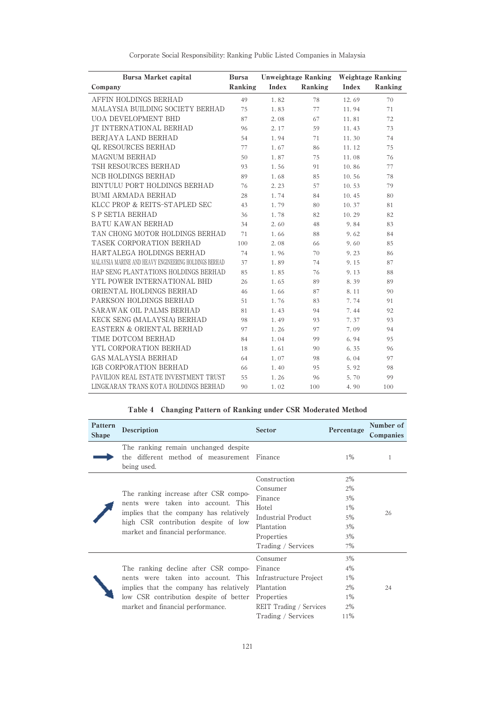| <b>Bursa Market capital</b>                           | <b>Bursa</b> | <b>Unweightage Ranking</b> |         | <b>Weightage Ranking</b> |         |
|-------------------------------------------------------|--------------|----------------------------|---------|--------------------------|---------|
| Company                                               | Ranking      | Index                      | Ranking | Index                    | Ranking |
| AFFIN HOLDINGS BERHAD                                 | 49           | 1.82                       | 78      | 12.69                    | 70      |
| MALAYSIA BUILDING SOCIETY BERHAD                      | 75           | 1.83                       | 77      | 11.94                    | 71      |
| <b>UOA DEVELOPMENT BHD</b>                            | 87           | 2.08                       | 67      | 11.81                    | 72      |
| <b>JT INTERNATIONAL BERHAD</b>                        | 96           | 2.17                       | 59      | 11.43                    | 73      |
| BERJAYA LAND BERHAD                                   | 54           | 1.94                       | 71      | 11.30                    | 74      |
| QL RESOURCES BERHAD                                   | 77           | 1.67                       | 86      | 11.12                    | 75      |
| <b>MAGNUM BERHAD</b>                                  | 50           | 1.87                       | 75      | 11.08                    | 76      |
| TSH RESOURCES BERHAD                                  | 93           | 1.56                       | 91      | 10.86                    | 77      |
| <b>NCB HOLDINGS BERHAD</b>                            | 89           | 1.68                       | 85      | 10.56                    | 78      |
| BINTULU PORT HOLDINGS BERHAD                          | 76           | 2.23                       | 57      | 10.53                    | 79      |
| <b>BUMI ARMADA BERHAD</b>                             | 28           | 1.74                       | 84      | 10.45                    | 80      |
| KLCC PROP & REITS-STAPLED SEC                         | 43           | 1.79                       | 80      | 10.37                    | 81      |
| <b>S P SETIA BERHAD</b>                               | 36           | 1.78                       | 82      | 10.29                    | 82      |
| BATU KAWAN BERHAD                                     | 34           | 2.60                       | 48      | 9.84                     | 83      |
| TAN CHONG MOTOR HOLDINGS BERHAD                       | 71           | 1.66                       | 88      | 9.62                     | 84      |
| TASEK CORPORATION BERHAD                              | 100          | 2.08                       | 66      | 9.60                     | 85      |
| HARTALEGA HOLDINGS BERHAD                             | 74           | 1.96                       | 70      | 9.23                     | 86      |
| MALAYSIA MARINE AND HEAVY ENGINEERING HOLDINGS BERHAD | 37           | 1.89                       | 74      | 9.15                     | 87      |
| HAP SENG PLANTATIONS HOLDINGS BERHAD                  | 85           | 1.85                       | 76      | 9.13                     | 88      |
| YTL POWER INTERNATIONAL BHD                           | 26           | 1.65                       | 89      | 8.39                     | 89      |
| ORIENTAL HOLDINGS BERHAD                              | 46           | 1.66                       | 87      | 8.11                     | 90      |
| PARKSON HOLDINGS BERHAD                               | 51           | 1.76                       | 83      | 7.74                     | 91      |
| SARAWAK OIL PALMS BERHAD                              | 81           | 1.43                       | 94      | 7.44                     | 92      |
| KECK SENG (MALAYSIA) BERHAD                           | 98           | 1.49                       | 93      | 7.37                     | 93      |
| EASTERN & ORIENTAL BERHAD                             | 97           | 1.26                       | 97      | 7.09                     | 94      |
| TIME DOTCOM BERHAD                                    | 84           | 1.04                       | 99      | 6.94                     | 95      |
| YTL CORPORATION BERHAD                                | 18           | 1.61                       | 90      | 6.35                     | 96      |
| <b>GAS MALAYSIA BERHAD</b>                            | 64           | 1.07                       | 98      | 6.04                     | 97      |
| IGB CORPORATION BERHAD                                | 66           | 1.40                       | 95      | 5.92                     | 98      |
| PAVILION REAL ESTATE INVESTMENT TRUST                 | 55           | 1.26                       | 96      | 5.70                     | 99      |
| LINGKARAN TRANS KOTA HOLDINGS BERHAD                  | 90           | 1.02                       | 100     | 4.90                     | 100     |

# Table 4 Changing Pattern of Ranking under CSR Moderated Method

| Pattern<br><b>Shape</b> | Description                                                                                                                                                                                                      | <b>Sector</b>                                                                                                        | Percentage                                             | Number of<br>Companies |
|-------------------------|------------------------------------------------------------------------------------------------------------------------------------------------------------------------------------------------------------------|----------------------------------------------------------------------------------------------------------------------|--------------------------------------------------------|------------------------|
|                         | The ranking remain unchanged despite<br>the different method of measurement Finance<br>being used.                                                                                                               |                                                                                                                      | 1%                                                     | 1                      |
|                         | The ranking increase after CSR compo-<br>nents were taken into account. This<br>implies that the company has relatively<br>high CSR contribution despite of low<br>market and financial performance.             | Construction<br>Consumer<br>Finance<br>Hotel<br>Industrial Product<br>Plantation<br>Properties<br>Trading / Services | $2\%$<br>2%<br>3%<br>$1\%$<br>$5\%$<br>3%<br>3%<br>7%  | 26                     |
|                         | The ranking decline after CSR compo-<br>nents were taken into account. This<br>implies that the company has relatively<br>low CSR contribution despite of better Properties<br>market and financial performance. | Consumer<br>Finance<br>Infrastructure Project<br>Plantation<br>REIT Trading / Services<br>Trading / Services         | 3%<br>$4\%$<br>$1\%$<br>$2\%$<br>$1\%$<br>$2\%$<br>11% | 24                     |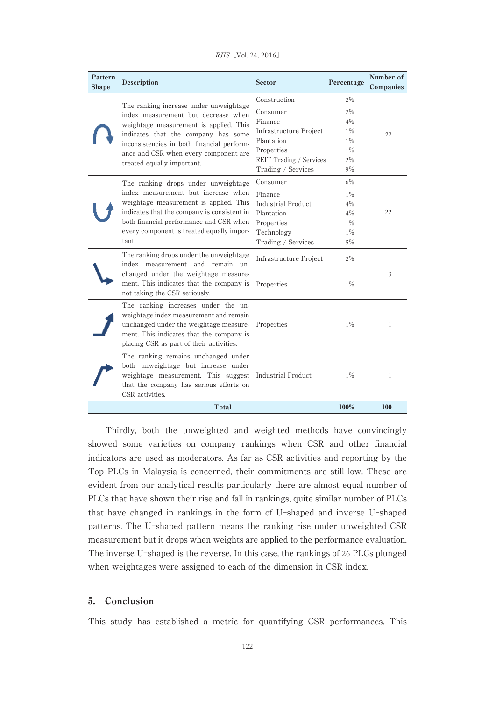| Pattern<br><b>Shape</b> | Description                                                                                                                                                                                                     | Sector                        | Percentage | Number of<br>Companies |
|-------------------------|-----------------------------------------------------------------------------------------------------------------------------------------------------------------------------------------------------------------|-------------------------------|------------|------------------------|
|                         | The ranking increase under unweightage<br>index measurement but decrease when<br>weightage measurement is applied. This                                                                                         | Construction                  | $2\%$      |                        |
|                         |                                                                                                                                                                                                                 | Consumer                      | 2%         |                        |
|                         |                                                                                                                                                                                                                 | Finance                       | 4%         |                        |
|                         | indicates that the company has some                                                                                                                                                                             | Infrastructure Project        | $1\%$      | 22                     |
|                         | inconsistencies in both financial perform-                                                                                                                                                                      | Plantation                    | $1\%$      |                        |
|                         | ance and CSR when every component are                                                                                                                                                                           | Properties                    | $1\%$      |                        |
|                         | treated equally important.                                                                                                                                                                                      | REIT Trading / Services       | 2%         |                        |
|                         |                                                                                                                                                                                                                 | Trading / Services            | 9%         |                        |
|                         | The ranking drops under unweightage                                                                                                                                                                             | Consumer                      | $6\%$      |                        |
|                         | index measurement but increase when                                                                                                                                                                             | Finance                       | $1\%$      |                        |
|                         | weightage measurement is applied. This                                                                                                                                                                          | <b>Industrial Product</b>     | $4\%$      |                        |
|                         | indicates that the company is consistent in<br>both financial performance and CSR when<br>every component is treated equally impor-                                                                             | Plantation                    | 4%         | 22                     |
|                         |                                                                                                                                                                                                                 | Properties                    | $1\%$      |                        |
|                         |                                                                                                                                                                                                                 | Technology                    | $1\%$      |                        |
|                         | tant.                                                                                                                                                                                                           | Trading / Services            | 5%         |                        |
|                         | The ranking drops under the unweightage<br>index measurement and remain un-<br>changed under the weightage measure-<br>ment. This indicates that the company is<br>not taking the CSR seriously.                | <b>Infrastructure Project</b> | 2%         |                        |
|                         |                                                                                                                                                                                                                 | Properties                    | 1%         | 3                      |
|                         | The ranking increases under the un-<br>weightage index measurement and remain<br>unchanged under the weightage measure-<br>ment. This indicates that the company is<br>placing CSR as part of their activities. | Properties                    | $1\%$      | 1                      |
|                         | The ranking remains unchanged under<br>both unweightage but increase under<br>weightage measurement. This suggest Industrial Product<br>that the company has serious efforts on<br>CSR activities.              |                               | $1\%$      | $\mathbf{1}$           |
|                         | Total                                                                                                                                                                                                           |                               | 100%       | 100                    |

RJIS<sup>[Vol. 24, 2016]</sup>

Thirdly, both the unweighted and weighted methods have convincingly showed some varieties on company rankings when CSR and other financial indicators are used as moderators. As far as CSR activities and reporting by the Top PLCs in Malaysia is concerned, their commitments are still low. These are evident from our analytical results particularly there are almost equal number of PLCs that have shown their rise and fall in rankings, quite similar number of PLCs that have changed in rankings in the form of U-shaped and inverse U-shaped patterns. The U-shaped pattern means the ranking rise under unweighted CSR measurement but it drops when weights are applied to the performance evaluation. The inverse U-shaped is the reverse. In this case, the rankings of 26 PLCs plunged when weightages were assigned to each of the dimension in CSR index.

# 5. Conclusion

This study has established a metric for quantifying CSR performances. This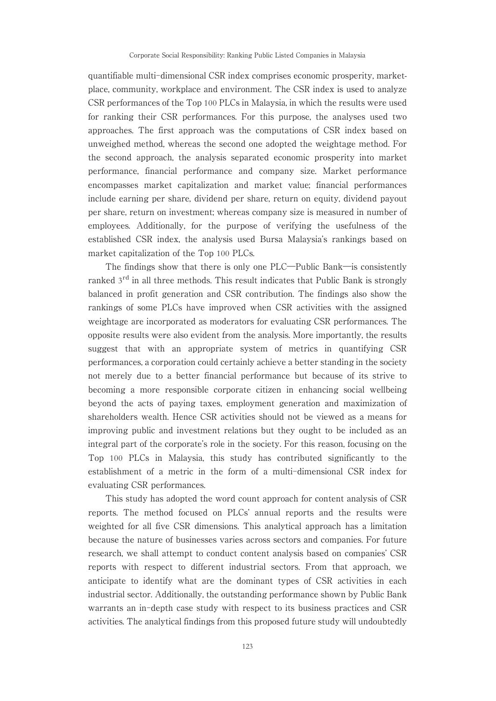quantifiable multi-dimensional CSR index comprises economic prosperity, marketplace, community, workplace and environment. The CSR index is used to analyze CSR performances of the Top 100 PLCs in Malaysia, in which the results were used for ranking their CSR performances. For this purpose, the analyses used two approaches. The first approach was the computations of CSR index based on unweighed method, whereas the second one adopted the weightage method. For the second approach, the analysis separated economic prosperity into market performance, financial performance and company size. Market performance encompasses market capitalization and market value; financial performances include earning per share, dividend per share, return on equity, dividend payout per share, return on investment; whereas company size is measured in number of employees. Additionally, for the purpose of verifying the usefulness of the established CSR index, the analysis used Bursa Malaysia's rankings based on market capitalization of the Top 100 PLCs.

The findings show that there is only one PLC―Public Bank―is consistently ranked 3<sup>rd</sup> in all three methods. This result indicates that Public Bank is strongly balanced in profit generation and CSR contribution. The findings also show the rankings of some PLCs have improved when CSR activities with the assigned weightage are incorporated as moderators for evaluating CSR performances. The opposite results were also evident from the analysis. More importantly, the results suggest that with an appropriate system of metrics in quantifying CSR performances, a corporation could certainly achieve a better standing in the society not merely due to a better financial performance but because of its strive to becoming a more responsible corporate citizen in enhancing social wellbeing beyond the acts of paying taxes, employment generation and maximization of shareholders wealth. Hence CSR activities should not be viewed as a means for improving public and investment relations but they ought to be included as an integral part of the corporate's role in the society. For this reason, focusing on the Top 100 PLCs in Malaysia, this study has contributed significantly to the establishment of a metric in the form of a multi-dimensional CSR index for evaluating CSR performances.

This study has adopted the word count approach for content analysis of CSR reports. The method focused on PLCs' annual reports and the results were weighted for all five CSR dimensions. This analytical approach has a limitation because the nature of businesses varies across sectors and companies. For future research, we shall attempt to conduct content analysis based on companies' CSR reports with respect to different industrial sectors. From that approach, we anticipate to identify what are the dominant types of CSR activities in each industrial sector. Additionally, the outstanding performance shown by Public Bank warrants an in-depth case study with respect to its business practices and CSR activities. The analytical findings from this proposed future study will undoubtedly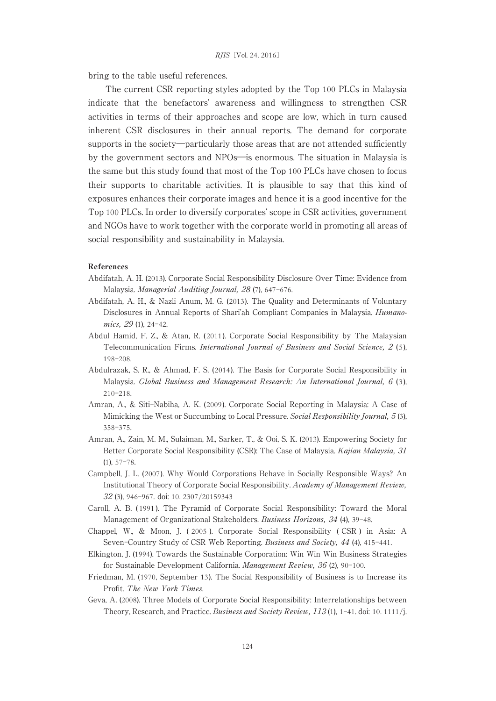bring to the table useful references.

The current CSR reporting styles adopted by the Top 100 PLCs in Malaysia indicate that the benefactors' awareness and willingness to strengthen CSR activities in terms of their approaches and scope are low, which in turn caused inherent CSR disclosures in their annual reports. The demand for corporate supports in the society―particularly those areas that are not attended sufficiently by the government sectors and NPOs―is enormous. The situation in Malaysia is the same but this study found that most of the Top 100 PLCs have chosen to focus their supports to charitable activities. It is plausible to say that this kind of exposures enhances their corporate images and hence it is a good incentive for the Top 100 PLCs. In order to diversify corporates' scope in CSR activities, government and NGOs have to work together with the corporate world in promoting all areas of social responsibility and sustainability in Malaysia.

#### References

- Abdifatah, A. H. (2013). Corporate Social Responsibility Disclosure Over Time: Evidence from Malaysia. Managerial Auditing Journal, 28 (7), 647-676.
- Abdifatah, A. H., & Nazli Anum, M. G. (2013). The Quality and Determinants of Voluntary Disclosures in Annual Reports of Shari'ah Compliant Companies in Malaysia. Humanomics, 29 (1), 24-42.
- Abdul Hamid, F. Z., & Atan, R. (2011 ). Corporate Social Responsibility by The Malaysian Telecommunication Firms. International Journal of Business and Social Science, 2 (5), 198-208.
- Abdulrazak, S. R., & Ahmad, F. S. (2014). The Basis for Corporate Social Responsibility in Malaysia. Global Business and Management Research: An International Journal, 6 (3), 210-218.
- Amran, A., & Siti-Nabiha, A. K. (2009). Corporate Social Reporting in Malaysia: A Case of Mimicking the West or Succumbing to Local Pressure. Social Responsibility Journal, 5 (3), 358-375.
- Amran, A., Zain, M. M., Sulaiman, M., Sarker, T., & Ooi, S. K. (2013). Empowering Society for Better Corporate Social Responsibility (CSR): The Case of Malaysia. *Kajian Malaysia*, 31  $(1), 57-78.$
- Campbell, J. L. (2007). Why Would Corporations Behave in Socially Responsible Ways? An Institutional Theory of Corporate Social Responsibility. Academy of Management Review, 32 (3), 946-967. doi: 10. 2307/20159343
- Caroll, A. B. ( 1991 ). The Pyramid of Corporate Social Responsibility: Toward the Moral Management of Organizational Stakeholders. Business Horizons, 34 (4), 39-48.
- Chappel, W., & Moon, J. ( 2005 ). Corporate Social Responsibility ( CSR ) in Asia: A Seven-Country Study of CSR Web Reporting. Business and Society, 44 (4), 415-441.
- Elkington, J. (1994). Towards the Sustainable Corporation: Win Win Win Business Strategies for Sustainable Development California. Management Review, 36 (2), 90-100.
- Friedman, M. (1970, September 13). The Social Responsibility of Business is to Increase its Profit. The New York Times.
- Geva, A. (2008). Three Models of Corporate Social Responsibility: Interrelationships between Theory, Research, and Practice. Business and Society Review, 113(1), 1-41. doi: 10. 1111/j.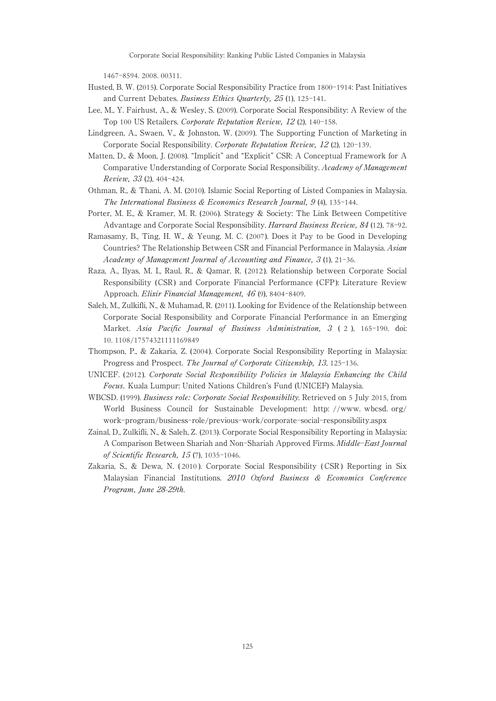1467-8594. 2008. 00311.

- Husted, B. W. (2015). Corporate Social Responsibility Practice from 1800-1914: Past Initiatives and Current Debates. Business Ethics Quarterly, 25 (1), 125-141.
- Lee, M., Y. Fairhust, A., & Wesley, S. (2009). Corporate Social Responsibility: A Review of the Top 100 US Retailers. Corporate Reputation Review, 12 (2), 140-158.
- Lindgreen, A., Swaen, V., & Johnston, W. (2009). The Supporting Function of Marketing in Corporate Social Responsibility. Corporate Reputation Review, 12 (2), 120-139.
- Matten, D., & Moon, J. (2008). "Implicit" and "Explicit" CSR: A Conceptual Framework for A Comparative Understanding of Corporate Social Responsibility. Academy of Management Review, 33 (2), 404-424.
- Othman, R., & Thani, A. M. (2010). Islamic Social Reporting of Listed Companies in Malaysia. The International Business & Economics Research Journal, 9 (4), 135-144.
- Porter, M. E., & Kramer, M. R. (2006). Strategy & Society: The Link Between Competitive Advantage and Corporate Social Responsibility. Harvard Business Review, 84 (12), 78-92.
- Ramasamy, B., Ting, H. W., & Yeung, M. C. (2007 ). Does it Pay to be Good in Developing Countries? The Relationship Between CSR and Financial Performance in Malaysia. Asian Academy of Management Journal of Accounting and Finance, 3 (1), 21-36.
- Raza, A., Ilyas, M. I., Raul, R., & Qamar, R. (2012 ). Relationship between Corporate Social Responsibility (CSR ) and Corporate Financial Performance (CFP ): Literature Review Approach. Elixir Financial Management, 46 (9), 8404-8409.
- Saleh, M., Zulkifli, N., & Muhamad, R. (2011). Looking for Evidence of the Relationship between Corporate Social Responsibility and Corporate Financial Performance in an Emerging Market. Asia Pacific Journal of Business Administration, 3 ( 2 ), 165-190. doi: 10. 1108/17574321111169849
- Thompson, P., & Zakaria, Z. (2004 ). Corporate Social Responsibility Reporting in Malaysia: Progress and Prospect. The Journal of Corporate Citizenship, 13, 125-136.
- UNICEF. ( 2012 ). Corporate Social Responsibility Policies in Malaysia Enhancing the Child Focus. Kuala Lumpur: United Nations Children's Fund (UNICEF) Malaysia.
- WBCSD. (1999). Business role: Corporate Social Responsibility. Retrieved on 5 July 2015, from World Business Council for Sustainable Development: http: //www. wbcsd. org/ work-program/business-role/previous-work/corporate-social-responsibility.aspx
- Zainal, D., Zulkifli, N., & Saleh, Z. (2013). Corporate Social Responsibility Reporting in Malaysia: A Comparison Between Shariah and Non-Shariah Approved Firms. Middle-East Journal of Scientific Research, 15 (7), 1035-1046.
- Zakaria, S., & Dewa, N. ( 2010 ). Corporate Social Responsibility ( CSR ) Reporting in Six Malaysian Financial Institutions. 2010 Oxford Business & Economics Conference Program, June 28-29th.